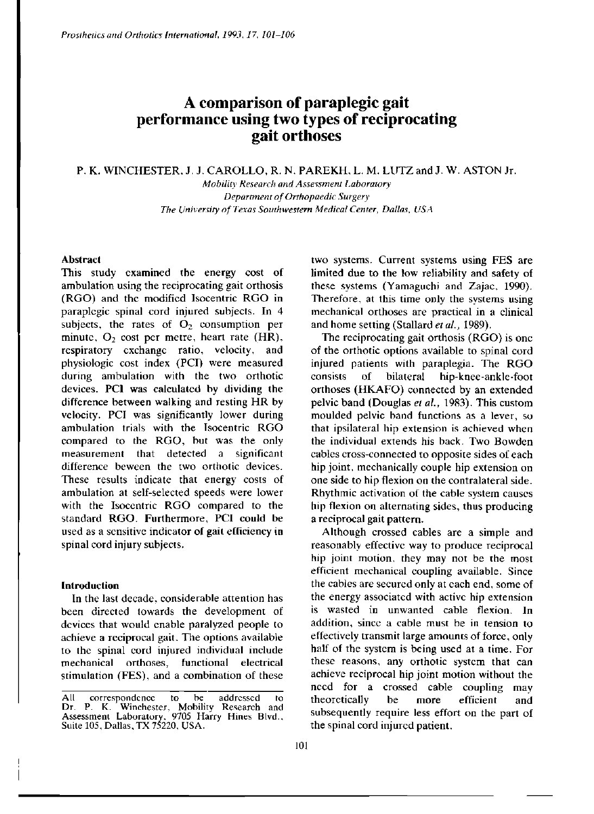# **A comparison of paraplegic gait performance using two types of reciprocating gait orthoses**

# P. K. WINCHESTER, J. J. CAROLLO, R. N. PAREKH, L. M. LUTZ and J. W. ASTON Jr.

*Mobility Research and Assessment Laboratory Department of Orthopaedic Surgery The University of Texas Southwestern Medical Center, Dallas, USA* 

# **Abstract**

This study examined the energy cost of ambulation using the reciprocating gait orthosis (RGO) and the modified Isocentric RGO in paraplegic spinal cord injured subjects. In 4 subjects, the rates of  $O<sub>2</sub>$  consumption per minute,  $O_2$  cost per metre, heart rate (HR), respiratory exchange ratio, velocity, and physiologic cost index (PCI) were measured during ambulation with the two orthotic devices. PCI was calculated by dividing the difference between walking and resting HR by velocity. PCI was significantly lower during ambulation trials with the Isocentric RGO compared to the RGO, but was the only measurement that detected a significant difference beween the two orthotic devices. These results indicate that energy costs of ambulation at self-selected speeds were lower with the Isocentric RGO compared to the standard RGO. Furthermore, PCI could be used as a sensitive indicator of gait efficiency in spinal cord injury subjects.

## **Introduction**

In the last decade, considerable attention has been directed towards the development of devices that would enable paralyzed people to achieve a reciprocal gait. The options available to the spinal cord injured individual include mechanical orthoses, functional electrical stimulation (FES), and a combination of these two systems. Current systems using FES are limited due to the low reliability and safety of these systems (Yamaguchi and Zajac, 1990). Therefore, at this time only the systems using mechanical orthoses are practical in a clinical and home setting (Stallard *et al.,* 1989).

The reciprocating gait orthosis (RGO) is one of the orthotic options available to spinal cord injured patients with paraplegia. The RGO consists of bilateral hip-knee-ankle-foot orthoses (HKAFO) connected by an extended pelvic band (Douglas *et al.,* 1983). This custom moulded pelvic band functions as a lever, so that ipsilateral hip extension is achieved when the individual extends his back. Two Bowden cables cross-connected to opposite sides of each hip joint, mechanically couple hip extension on one side to hip flexion on the contralateral side. Rhythmic activation of the cable system causes hip flexion on alternating sides, thus producing a reciprocal gait pattern.

Although crossed cables are a simple and reasonably effective way to produce reciprocal hip joint motion, they may not be the most efficient mechanical coupling available. Since the cables are secured only at each end, some of the energy associated with active hip extension is wasted in unwanted cable flexion. In addition, since a cable must be in tension to effectively transmit large amounts of force, only half of the system is being used at a time. For these reasons, any orthotic system that can achieve reciprocal hip joint motion without the need for a crossed cable coupling may theoretically be more efficient and subsequently require less effort on the part of the spinal cord injured patient.

All correspondence to be addressed to Dr. P. K. Winchester, Mobility Research and Assessment Laboratory, 9705 Harry Hines Blvd., Suite 105, Dallas, TX 75220, USA.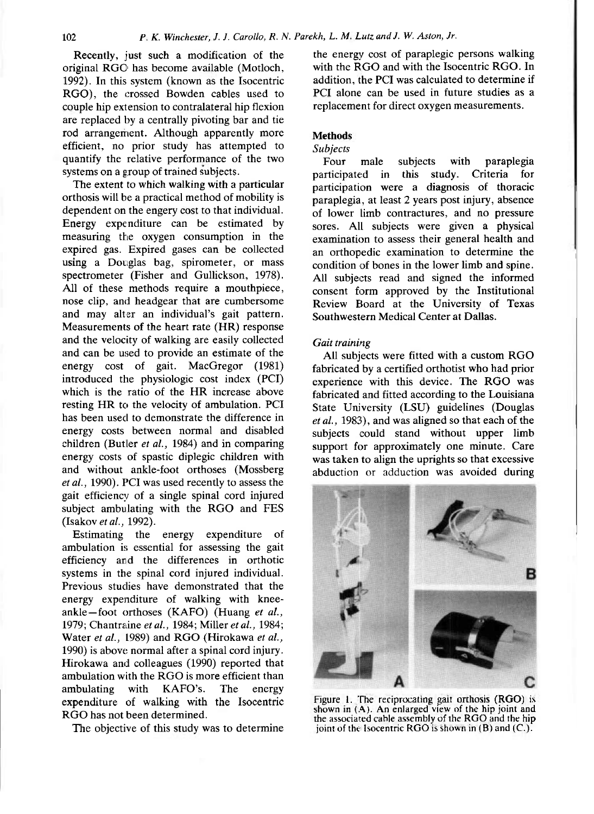Recently, just such a modification of the original RGO has become available (Motloch, 1992). In this system (known as the Isocentric RGO), the crossed Bowden cables used to couple hip extension to contralateral hip flexion are replaced by a centrally pivoting bar and tie rod arrangement. Although apparently more efficient, no prior study has attempted to quantify the relative performance of the two systems on a group of trained subjects.

The extent to which walking with a particular orthosis will be a practical method of mobility is dependent on the engery cost to that individual. Energy expenditure can be estimated by measuring the oxygen consumption in the expired gas. Expired gases can be collected using a Douglas bag, spirometer, or mass spectrometer (Fisher and Gullickson, 1978). All of these methods require a mouthpiece, nose clip, and headgear that are cumbersome and may alter an individual's gait pattern. Measurements of the heart rate (HR) response and the velocity of walking are easily collected and can be used to provide an estimate of the energy cost of gait. MacGregor (1981) introduced the physiologic cost index (PCI) which is the ratio of the HR increase above resting HR to the velocity of ambulation. PCI has been used to demonstrate the difference in energy costs between normal and disabled children (Butler *et al.,* 1984) and in comparing energy costs of spastic diplegic children with and without ankle-foot orthoses (Mossberg *et al.,* 1990). PCI was used recently to assess the gait efficiency of a single spinal cord injured subject ambulating with the RGO and FES (Isakov *et* a*l.,* 1992).

Estimating the energy expenditure of ambulation is essential for assessing the gait efficiency and the differences in orthotic systems in the spinal cord injured individual. Previous studies have demonstrated that the energy expenditure of walking with kneeankle—foot orthoses (KAFO) (Huang e*t al.,*  1979; Chantraine e*t al.,* 1984; Miller *et al.,* 1984; Water *et al.,* 1989) and RGO (Hirokawa *et al.,*  1990) is above normal after a spinal cord injury. Hirokawa and colleagues (1990) reported that ambulation with the RGO is more efficient than<br>ambulating with KAFO's. The energy ambulating with KAFO's. The energy expenditure of walking with the Isocentric RGO has not been determined.

The objective of this study was to determine

the energy cost of paraplegic persons walking with the RGO and with the Isocentric RGO. In addition, the PCI was calculated to determine if PCI alone can be used in future studies as a replacement for direct oxygen measurements.

## **Methods**

# *Subjects*

Four male subjects with paraplegia<br>Inticipated in this study. Criteria for participated in this study. participation were a diagnosis of thoracic paraplegia, at least 2 years post injury, absence of lower limb contractures, and no pressure sores. All subjects were given a physical examination to assess their general health and an orthopedic examination to determine the condition of bones in the lower limb and spine. All subjects read and signed the informed consent form approved by the Institutional Review Board at the University of Texas Southwestern Medical Center at Dallas.

#### *Gait training*

All subjects were fitted with a custom RGO fabricated by a certified orthotist who had prior experience with this device. The RGO was fabricated and fitted according to the Louisiana State University (LSU) guidelines (Douglas *et al.,* 1983), and was aligned so that each of the subjects could stand without upper limb support for approximately one minute. Care was taken to align the uprights so that excessive abduction or adduction was avoided during



Figure 1. The reciprocating gait orthosis (RGO) is shown in (A). An enlarged view of the hip joint and the associated cable assembly of the RGO and the hip joint of the Isocentric RGO is shown in  $(B)$  and  $(C.)$ .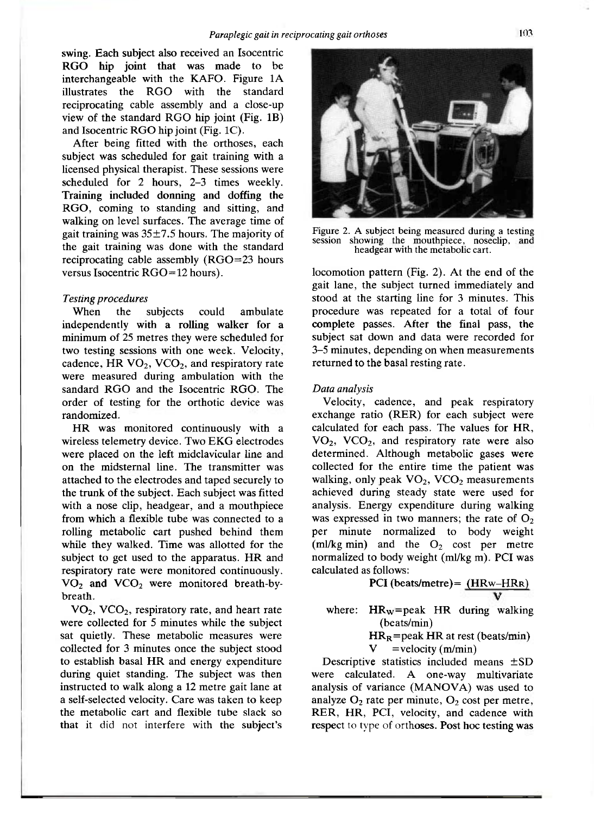swing. Each subject also received an Isocentric RGO hip joint that was made to be interchangeable with the KAFO. Figure 1A illustrates the RGO with the standard reciprocating cable assembly and a close-up view of the standard RGO hip joint (Fig. 1B) and Isocentric RGO hip joint (Fig. 1C).

After being fitted with the orthoses, each subject was scheduled for gait training with a licensed physical therapist. These sessions were scheduled for 2 hours, 2-3 times weekly. Training included donning and doffing the RGO, coming to standing and sitting, and walking on level surfaces. The average time of gait training was  $35\pm7.5$  hours. The majority of the gait training was done with the standard reciprocating cable assembly (RGO=23 hours versus Isocentric RGO=12 hours).

# *Testing procedures*

When the subjects could ambulate independently with a rolling walker for a minimum of 25 metres they were scheduled for two testing sessions with one week. Velocity, cadence, HR  $VO<sub>2</sub>$ , VCO<sub>2</sub>, and respiratory rate were measured during ambulation with the sandard RGO and the Isocentric RGO. The order of testing for the orthotic device was randomized.

HR was monitored continuously with a wireless telemetry device. Two EKG electrodes were placed on the left midclavicular line and on the midsternal line. The transmitter was attached to the electrodes and taped securely to the trunk of the subject. Each subject was fitted with a nose clip, headgear, and a mouthpiece from which a flexible tube was connected to a rolling metabolic cart pushed behind them while they walked. Time was allotted for the subject to get used to the apparatus. HR and respiratory rate were monitored continuously.  $V\Omega_2$  and  $V\Omega_2$  were monitored breath-bybreath.

 $VO<sub>2</sub>$ , VCO<sub>2</sub>, respiratory rate, and heart rate were collected for 5 minutes while the subject sat quietly. These metabolic measures were collected for 3 minutes once the subject stood to establish basal HR and energy expenditure during quiet standing. The subject was then instructed to walk along a 12 metre gait lane at a self-selected velocity. Care was taken to keep the metabolic cart and flexible tube slack so that it did not interfere with the subject's



Figure 2. A subject being measured during a testing session showing the mouthpiece, noseclip, and headgear with the metabolic cart.

locomotion pattern (Fig. 2). At the end of the gait lane, the subject turned immediately and stood at the starting line for 3 minutes. This procedure was repeated for a total of four complete passes. After the final pass, the subject sat down and data were recorded for 3-5 minutes, depending on when measurements returned to the basal resting rate.

### *Data analysis*

Velocity, cadence, and peak respiratory exchange ratio (RER) for each subject were calculated for each pass. The values for HR,  $VO<sub>2</sub>$ ,  $VCO<sub>2</sub>$ , and respiratory rate were also determined. Although metabolic gases were collected for the entire time the patient was walking, only peak  $VO<sub>2</sub>$ , VCO<sub>2</sub> measurements achieved during steady state were used for analysis. Energy expenditure during walking was expressed in two manners; the rate of  $O<sub>2</sub>$ per minute normalized to body weight (ml/kg min) and the  $O_2$  cost per metre normalized to body weight (ml/kg m). PCI was calculated as follows:

$$
PCI (beats/metre) = \frac{(HRw - HRR)}{V}
$$

where:  $HR_w = peak$  HR during walking (beats/min)

 $HR_R$ =peak HR at rest (beats/min)  $V =$ velocity (m/min)

Descriptive statistics included means ±SD were calculated. A one-way multivariate analysis of variance (MANOVA) was used to analyze  $O_2$  rate per minute,  $O_2$  cost per metre, RER, HR, PCI, velocity, and cadence with respect to type of orthoses. Post hoc testing was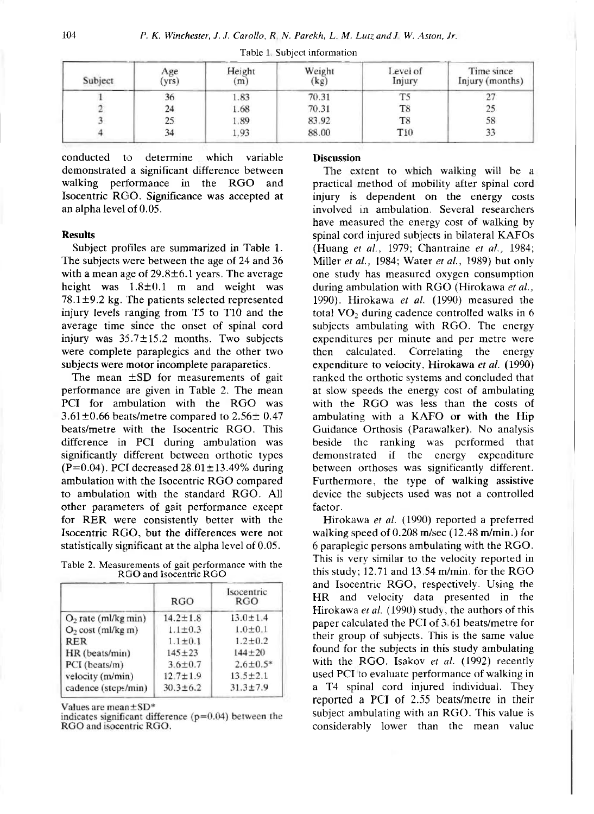| Subject | Age<br>(yrs) | Height<br>(m) | Weight<br>(kg) | Level of<br>Injury | Time since<br>Injury (months) |
|---------|--------------|---------------|----------------|--------------------|-------------------------------|
|         | 36           | 1.83          | 70.31          | T5                 |                               |
|         | 24           | 1.68          | 70.31          | T8                 | 25                            |
|         | 25           | 1.89          | 83.92          | T8                 | 58                            |
|         | 34           | 1.93          | 88.00          | T10                | 33                            |

Table 1. Subject information

conducted to determine which variable demonstrated a significant difference between walking performance in the RGO and Isocentric RGO. Significance was accepted at an alpha level of 0.05.

# **Results**

Subject profiles are summarized in Table 1. The subjects were between the age of 24 and 36 with a mean age of  $29.8 \pm 6.1$  years. The average height was 1.8±0.1 m and weight was  $78.1 \pm 9.2$  kg. The patients selected represented injury levels ranging from T5 to T10 and the average time since the onset of spinal cord injury was 35.7±15.2 months. Two subjects were complete paraplegics and the other two subjects were motor incomplete paraparetics.

The mean  $\pm$ SD for measurements of gait performance are given in Table 2. The mean PCI for ambulation with the RGO was  $3.61\pm0.66$  beats/metre compared to  $2.56\pm0.47$ beats/metre with the Isocentric RGO. This difference in PCI during ambulation was significantly different between orthotic types (P=0.04). PCI decreased  $28.01 \pm 13.49\%$  during ambulation with the Isocentric RGO compared to ambulation with the standard RGO. All other parameters of gait performance except for RER were consistently better with the Isocentric RGO, but the differences were not statistically significant at the alpha level of 0.05.

Table 2. Measurements of gait performance with the RGO and Isocentric RGO

|                               | RGO            | Isocentric<br>RGO |
|-------------------------------|----------------|-------------------|
| $O2$ rate (ml/kg min)         | $14.2 \pm 1.8$ | $13.0 \pm 1.4$    |
| O <sub>2</sub> cost (ml/kg m) | $1.1 \pm 0.3$  | $1.0 + 0.1$       |
| <b>RER</b>                    | $1.1 \pm 0.1$  | $1.2 + 0.2$       |
| HR (beats/min)                | $145 + 23$     | $144 + 20$        |
| PCI (beats/m)                 | $3.6 \pm 0.7$  | $2.6 \pm 0.5*$    |
| velocity (m/min)              | $12.7 \pm 1.9$ | $13.5 \pm 2.1$    |
| cadence (steps/min)           | $30.3 \pm 6.2$ | $31.3 \pm 7.9$    |

Values are mean±SD\*

indicates significant difference ( $p=0.04$ ) between the RGO and isocentric RGO.

# **Discussion**

The extent to which walking will be a practical method of mobility after spinal cord injury is dependent on the energy costs involved in ambulation. Several researchers have measured the energy cost of walking by spinal cord injured subjects in bilateral KAFOs (Huang *et al.,* 1979; Chantraine e*t al.,* 1984; Miller *et al.,* 1984; Water e*t al.,* 1989) but only one study has measured oxygen consumption during ambulation with RGO (Hirokawa *et al.,*  1990). Hirokawa *et al.* (1990) measured the total  $VO<sub>2</sub>$  during cadence controlled walks in 6 subjects ambulating with RGO. The energy expenditures per minute and per metre were then calculated. Correlating the energy expenditure to velocity, Hirokawa *et al.* (1990) ranked the orthotic systems and concluded that at slow speeds the energy cost of ambulating with the RGO was less than the costs of ambulating with a KAFO or with the Hip Guidance Orthosis (Parawalker). No analysis beside the ranking was performed that demonstrated if the energy expenditure between orthoses was significantly different. Furthermore, the type of walking assistive device the subjects used was not a controlled factor.

Hirokawa *et al.* (1990) reported a preferred walking speed of 0.208 m/sec (12.48 m/min.) for 6 paraplegic persons ambulating with the RGO. This is very similar to the velocity reported in this study; 12.71 and 13.54 m/min. for the RGO and Isocentric RGO, respectively. Using the HR and velocity data presented in the Hirokawa *et al.* (1990) study, the authors of this paper calculated the PCI of 3.61 beats/metre for their group of subjects. This is the same value found for the subjects in this study ambulating with the RGO. Isakov *et al.* (1992) recently used PCI to evaluate performance of walking in a T4 spinal cord injured individual. They reported a PCI of 2.55 beats/metre in their subject ambulating with an RGO. This value is considerably lower than the mean value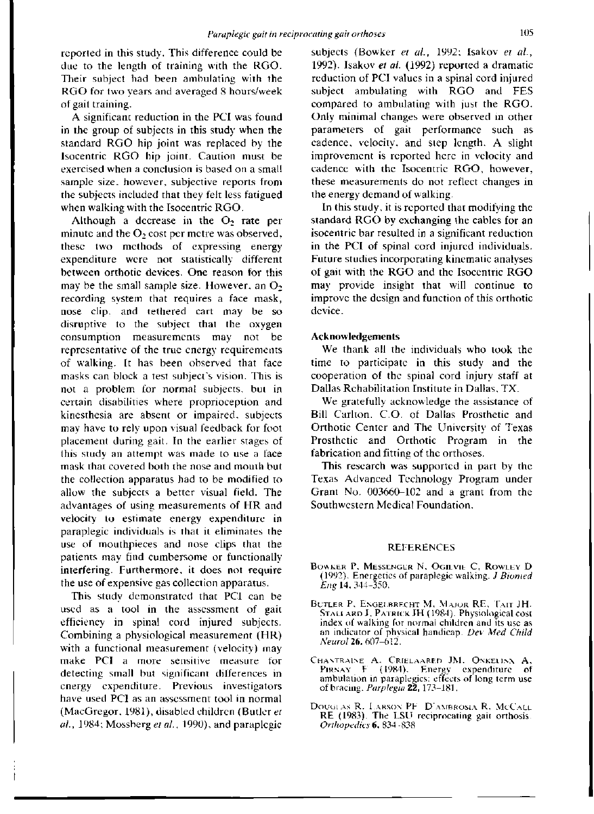reported in this study. This difference could be due to the length of training with the RGO. Their subject had been ambulating with the RGO for two years and averaged 8 hours/week of gait training.

A significant reduction in the PCI was found in the group of subjects in this study when the standard RGO hip joint was replaced by the Isocentric RGO hip joint. Caution must be exercised when a conclusion is based on a small sample size, however, subjective reports from the subjects included that they felt less fatigued when walking with the Isocentric RGO.

Although a decrease in the  $O_2$  rate per minute and the  $O_2$  cost per metre was observed, these two methods of expressing energy expenditure were not statistically different between orthotic devices. One reason for this may be the small sample size. However, an  $O<sub>2</sub>$ recording system that requires a face mask, nose clip, and tethered cart may be so disruptive to the subject that the oxygen consumption measurements may not be representative of the true energy requirements of walking. It has been observed that face masks can block a test subject's vision. This is not a problem for normal subjects, but in certain disabilities where proprioception and kinesthesia are absent or impaired, subjects may have to rely upon visual feedback for foot placement during gait. In the earlier stages of this study an attempt was made to use a face mask that covered both the nose and mouth but the collection apparatus had to be modified to allow the subjects a better visual field. The allow the subjects a better visual field. The and advantages of using measurements of FIR and velocity to estimate energy expenditure in paraplegic individuals is that it eliminates the use of mouthpieces and nose clips that the patients may find cumbersome or functionally interfering. Furthermore, it does not require<br>the use of expensive gas collection apparatus.

This study demonstrated that PCI can be used as a tool in the assessment of gait efficiency in spinal cord injured subjects. Combining a physiological measurement (HR) with a functional measurement (velocity) may make PCI a more sensitive measure for detecting small but significant differences in energy expenditure. Previous investigators have used PCI as an assessment tool in normal (MacGregor, 1981), disabled children (Butler *et al.,* 1984; Mossberg *et al.,* 1990), and paraplegic

subjects (Bowker *et al.,* 1992; Isakov *et al.,*  1992). Isakov *et al.* (1992) reported a dramatic reduction of PCI values in a spinal cord injured subject ambulating with RGO and FES compared to ambulating with just the RGO. Only minimal changes were observed in other parameters of gait performance such as cadence, velocity, and step length. A slight improvement is reported here in velocity and cadence with the Isocentric RGO, however, these measurements do not reflect changes in the energy demand of walking.

In this study, it is reported that modifying the standard RGO by exchanging the cables for an isocentric bar resulted in a significant reduction in the PCI of spinal cord injured individuals. Future studies incorporating kinematic analyses of gait with the RGO and the Isocentric RGO may provide insight that will continue to improve the design and function of this orthotic device.

#### **Acknowledgements**

We thank all the individuals who took the time to participate in this study and the cooperation of the spinal cord injury staff at Dallas Rehabilitation Institute in Dallas, TX.

We gratefully acknowledge the assistance of Bill Carlton, C.O. of Dallas Prosthetic and Orthotic Center and The University of Texas Prosthetic and Orthotic Program in the fabrication and fitting of the orthoses.

This research was supported in part by the Texas Advanced Technology Program under Grant No. 003660-102 and a grant from the Southwestern Medical Foundation.

#### **REFERENCES**

- **BOWKER P, MESSENGER N, OGILVIE C, ROWLEY D (1992) .** Energetics of paraplegic walking. *J Biomed Eng* **14 , 344-350 .**
- **BUTLER** P, **ENGELBRECHT M, MAJOR** RE , **TAIT JH, STALLARD J, PATRICK JH (1984). Physiological cost** index of walking for normal children and its use as an indicator of phvsical handicap. *Dev Med Child Neurol* **26,607-612 .**
- **CHANTRAINE A, CRIELAARED JM, ONKELINX A , PIRNAY** F **(1984) .** Energy expenditure of ambulation in paraplegics: effects of long term use of bracing. *Parplegia* **22 , 173-181 .**
- **DOUGLAS** R, **LARSON** PF, D'**AMBROSIA** R, **MCCALL <sup>R</sup> E (1983) .** The **LS U** reciprocating gait orthosis *Orthopedics* **6 , 834—838 .**